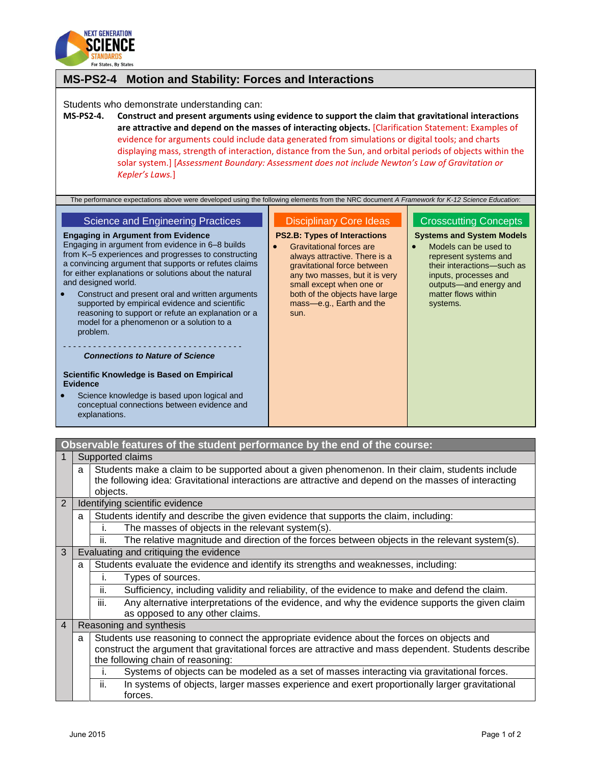

### **MS-PS2-4 Motion and Stability: Forces and Interactions**

Students who demonstrate understanding can:

**MS-PS2-4. Construct and present arguments using evidence to support the claim that gravitational interactions are attractive and depend on the masses of interacting objects.** [Clarification Statement: Examples of evidence for arguments could include data generated from simulations or digital tools; and charts displaying mass, strength of interaction, distance from the Sun, and orbital periods of objects within the solar system.] [*Assessment Boundary: Assessment does not include Newton's Law of Gravitation or Kepler's Laws.*]

The performance expectations above were developed using the following elements from the NRC document *A Framework for K-12 Science Education*:

#### Science and Engineering Practices

## Disciplinary Core Ideas

# **PS2.B: Types of Interactions**

**Engaging in Argument from Evidence** Engaging in argument from evidence in 6–8 builds from K–5 experiences and progresses to constructing a convincing argument that supports or refutes claims for either explanations or solutions about the natural and designed world.

 Construct and present oral and written arguments supported by empirical evidence and scientific reasoning to support or refute an explanation or a model for a phenomenon or a solution to a problem.

#### - - - - - - - - - - - - - - - - - - - - - - - - - - - - - - - - - - - - *Connections to Nature of Science*

**Scientific Knowledge is Based on Empirical Evidence**

- Science knowledge is based upon logical and conceptual connections between evidence and explanations.
- **•** Gravitational forces are always attractive. There is a gravitational force between any two masses, but it is very small except when one or both of the objects have large mass—e.g., Earth and the sun.
- Crosscutting Concepts **Systems and System Models**
- Models can be used to represent systems and their interactions—such as inputs, processes and outputs—and energy and matter flows within systems.

|                | Observable features of the student performance by the end of the course: |                                                                                                        |  |  |
|----------------|--------------------------------------------------------------------------|--------------------------------------------------------------------------------------------------------|--|--|
|                |                                                                          | Supported claims                                                                                       |  |  |
|                | a                                                                        | Students make a claim to be supported about a given phenomenon. In their claim, students include       |  |  |
|                |                                                                          | the following idea: Gravitational interactions are attractive and depend on the masses of interacting  |  |  |
|                |                                                                          | objects.                                                                                               |  |  |
| 2              |                                                                          | Identifying scientific evidence                                                                        |  |  |
|                | a                                                                        | Students identify and describe the given evidence that supports the claim, including:                  |  |  |
|                |                                                                          | The masses of objects in the relevant system(s).<br>Ι.                                                 |  |  |
|                |                                                                          | ii.<br>The relative magnitude and direction of the forces between objects in the relevant system(s).   |  |  |
| 3              |                                                                          | Evaluating and critiquing the evidence                                                                 |  |  |
|                | a                                                                        | Students evaluate the evidence and identify its strengths and weaknesses, including:                   |  |  |
|                |                                                                          | Types of sources.<br>L.                                                                                |  |  |
|                |                                                                          | ii.<br>Sufficiency, including validity and reliability, of the evidence to make and defend the claim.  |  |  |
|                |                                                                          | iii.<br>Any alternative interpretations of the evidence, and why the evidence supports the given claim |  |  |
|                |                                                                          | as opposed to any other claims.                                                                        |  |  |
| $\overline{4}$ |                                                                          | Reasoning and synthesis                                                                                |  |  |
|                | a                                                                        | Students use reasoning to connect the appropriate evidence about the forces on objects and             |  |  |
|                |                                                                          | construct the argument that gravitational forces are attractive and mass dependent. Students describe  |  |  |
|                |                                                                          | the following chain of reasoning:                                                                      |  |  |
|                |                                                                          | Systems of objects can be modeled as a set of masses interacting via gravitational forces.<br>L.       |  |  |
|                |                                                                          | ii.<br>In systems of objects, larger masses experience and exert proportionally larger gravitational   |  |  |
|                |                                                                          | forces.                                                                                                |  |  |